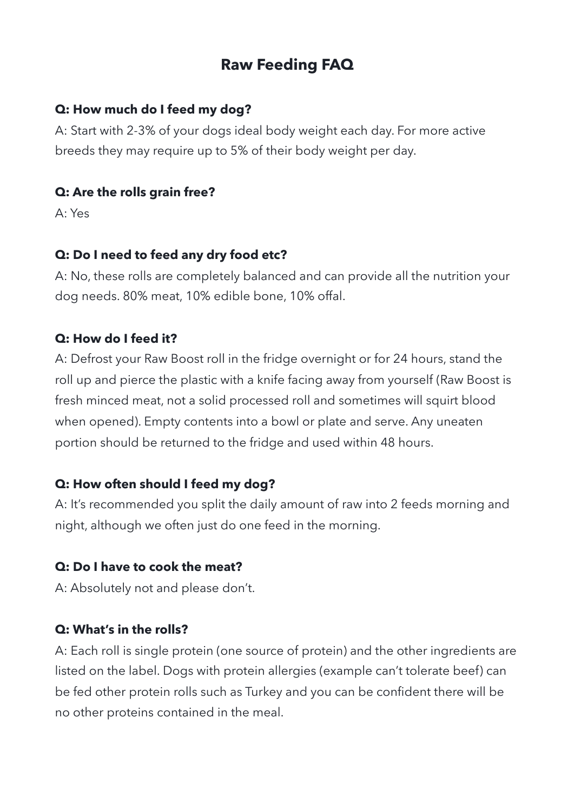# **Raw Feeding FAQ**

### **Q: How much do I feed my dog?**

A: Start with 2-3% of your dogs ideal body weight each day. For more active breeds they may require up to 5% of their body weight per day.

#### **Q: Are the rolls grain free?**

A: Yes

### **Q: Do I need to feed any dry food etc?**

A: No, these rolls are completely balanced and can provide all the nutrition your dog needs. 80% meat, 10% edible bone, 10% offal.

### **Q: How do I feed it?**

A: Defrost your Raw Boost roll in the fridge overnight or for 24 hours, stand the roll up and pierce the plastic with a knife facing away from yourself (Raw Boost is fresh minced meat, not a solid processed roll and sometimes will squirt blood when opened). Empty contents into a bowl or plate and serve. Any uneaten portion should be returned to the fridge and used within 48 hours.

## **Q: How often should I feed my dog?**

A: It's recommended you split the daily amount of raw into 2 feeds morning and night, although we often just do one feed in the morning.

## **Q: Do I have to cook the meat?**

A: Absolutely not and please don't.

## **Q: What's in the rolls?**

A: Each roll is single protein (one source of protein) and the other ingredients are listed on the label. Dogs with protein allergies (example can't tolerate beef) can be fed other protein rolls such as Turkey and you can be confident there will be no other proteins contained in the meal.